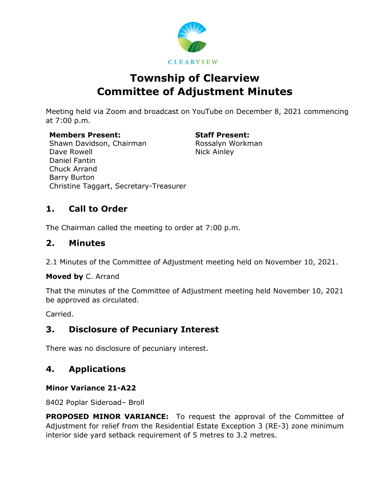

# **Township of Clearview Committee of Adjustment Minutes**

Meeting held via Zoom and broadcast on YouTube on December 8, 2021 commencing at 7:00 p.m.

**Members Present: Staff Present:** Shawn Davidson, Chairman Dave Rowell Daniel Fantin Chuck Arrand Barry Burton Christine Taggart, Secretary-Treasurer

Rossalyn Workman Nick Ainley

# **1. Call to Order**

The Chairman called the meeting to order at 7:00 p.m.

### **2. Minutes**

2.1 Minutes of the Committee of Adjustment meeting held on November 10, 2021.

**Moved by** C. Arrand

That the minutes of the Committee of Adjustment meeting held November 10, 2021 be approved as circulated.

Carried.

# **3. Disclosure of Pecuniary Interest**

There was no disclosure of pecuniary interest.

# **4. Applications**

### **Minor Variance 21-A22**

8402 Poplar Sideroad– Broll

**PROPOSED MINOR VARIANCE:** To request the approval of the Committee of Adjustment for relief from the Residential Estate Exception 3 (RE-3) zone minimum interior side yard setback requirement of 5 metres to 3.2 metres.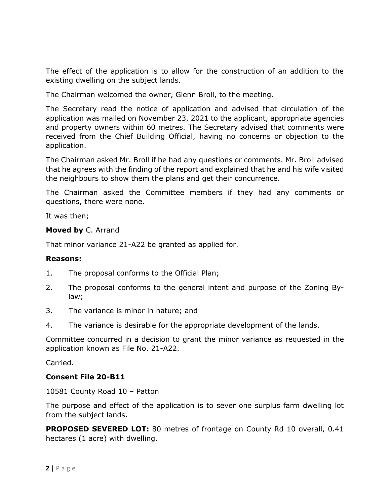The effect of the application is to allow for the construction of an addition to the existing dwelling on the subject lands.

The Chairman welcomed the owner, Glenn Broll, to the meeting.

The Secretary read the notice of application and advised that circulation of the application was mailed on November 23, 2021 to the applicant, appropriate agencies and property owners within 60 metres. The Secretary advised that comments were received from the Chief Building Official, having no concerns or objection to the application.

The Chairman asked Mr. Broll if he had any questions or comments. Mr. Broll advised that he agrees with the finding of the report and explained that he and his wife visited the neighbours to show them the plans and get their concurrence.

The Chairman asked the Committee members if they had any comments or questions, there were none.

It was then;

#### **Moved by** C. Arrand

That minor variance 21-A22 be granted as applied for.

#### **Reasons:**

- 1. The proposal conforms to the Official Plan;
- 2. The proposal conforms to the general intent and purpose of the Zoning Bylaw;
- 3. The variance is minor in nature; and
- 4. The variance is desirable for the appropriate development of the lands.

Committee concurred in a decision to grant the minor variance as requested in the application known as File No. 21-A22.

Carried.

#### **Consent File 20-B11**

10581 County Road 10 – Patton

The purpose and effect of the application is to sever one surplus farm dwelling lot from the subject lands.

**PROPOSED SEVERED LOT:** 80 metres of frontage on County Rd 10 overall, 0.41 hectares (1 acre) with dwelling.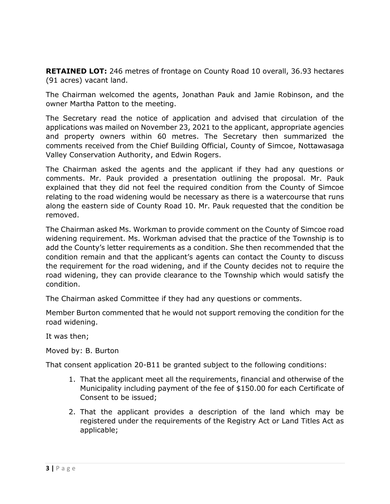**RETAINED LOT:** 246 metres of frontage on County Road 10 overall, 36.93 hectares (91 acres) vacant land.

The Chairman welcomed the agents, Jonathan Pauk and Jamie Robinson, and the owner Martha Patton to the meeting.

The Secretary read the notice of application and advised that circulation of the applications was mailed on November 23, 2021 to the applicant, appropriate agencies and property owners within 60 metres. The Secretary then summarized the comments received from the Chief Building Official, County of Simcoe, Nottawasaga Valley Conservation Authority, and Edwin Rogers.

The Chairman asked the agents and the applicant if they had any questions or comments. Mr. Pauk provided a presentation outlining the proposal. Mr. Pauk explained that they did not feel the required condition from the County of Simcoe relating to the road widening would be necessary as there is a watercourse that runs along the eastern side of County Road 10. Mr. Pauk requested that the condition be removed.

The Chairman asked Ms. Workman to provide comment on the County of Simcoe road widening requirement. Ms. Workman advised that the practice of the Township is to add the County's letter requirements as a condition. She then recommended that the condition remain and that the applicant's agents can contact the County to discuss the requirement for the road widening, and if the County decides not to require the road widening, they can provide clearance to the Township which would satisfy the condition.

The Chairman asked Committee if they had any questions or comments.

Member Burton commented that he would not support removing the condition for the road widening.

It was then;

Moved by: B. Burton

That consent application 20-B11 be granted subject to the following conditions:

- 1. That the applicant meet all the requirements, financial and otherwise of the Municipality including payment of the fee of \$150.00 for each Certificate of Consent to be issued;
- 2. That the applicant provides a description of the land which may be registered under the requirements of the Registry Act or Land Titles Act as applicable;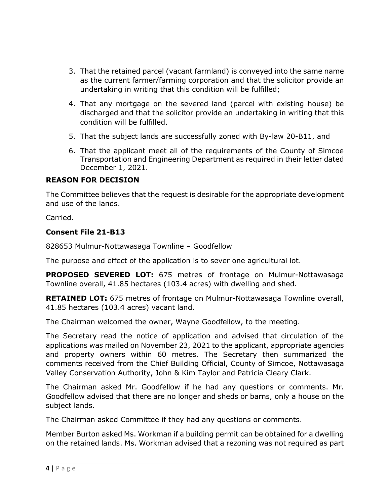- 3. That the retained parcel (vacant farmland) is conveyed into the same name as the current farmer/farming corporation and that the solicitor provide an undertaking in writing that this condition will be fulfilled;
- 4. That any mortgage on the severed land (parcel with existing house) be discharged and that the solicitor provide an undertaking in writing that this condition will be fulfilled.
- 5. That the subject lands are successfully zoned with By-law 20-B11, and
- 6. That the applicant meet all of the requirements of the County of Simcoe Transportation and Engineering Department as required in their letter dated December 1, 2021.

#### **REASON FOR DECISION**

The Committee believes that the request is desirable for the appropriate development and use of the lands.

Carried.

#### **Consent File 21-B13**

828653 Mulmur-Nottawasaga Townline – Goodfellow

The purpose and effect of the application is to sever one agricultural lot.

**PROPOSED SEVERED LOT:** 675 metres of frontage on Mulmur-Nottawasaga Townline overall, 41.85 hectares (103.4 acres) with dwelling and shed.

**RETAINED LOT:** 675 metres of frontage on Mulmur-Nottawasaga Townline overall, 41.85 hectares (103.4 acres) vacant land.

The Chairman welcomed the owner, Wayne Goodfellow, to the meeting.

The Secretary read the notice of application and advised that circulation of the applications was mailed on November 23, 2021 to the applicant, appropriate agencies and property owners within 60 metres. The Secretary then summarized the comments received from the Chief Building Official, County of Simcoe, Nottawasaga Valley Conservation Authority, John & Kim Taylor and Patricia Cleary Clark.

The Chairman asked Mr. Goodfellow if he had any questions or comments. Mr. Goodfellow advised that there are no longer and sheds or barns, only a house on the subject lands.

The Chairman asked Committee if they had any questions or comments.

Member Burton asked Ms. Workman if a building permit can be obtained for a dwelling on the retained lands. Ms. Workman advised that a rezoning was not required as part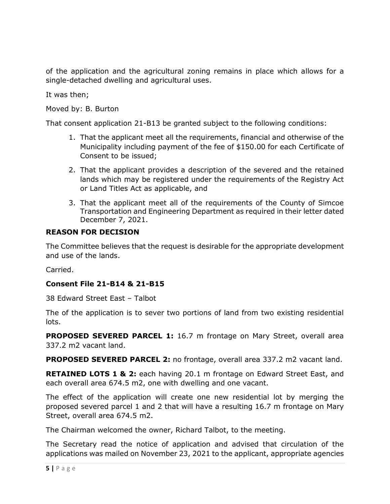of the application and the agricultural zoning remains in place which allows for a single-detached dwelling and agricultural uses.

It was then;

Moved by: B. Burton

That consent application 21-B13 be granted subject to the following conditions:

- 1. That the applicant meet all the requirements, financial and otherwise of the Municipality including payment of the fee of \$150.00 for each Certificate of Consent to be issued;
- 2. That the applicant provides a description of the severed and the retained lands which may be registered under the requirements of the Registry Act or Land Titles Act as applicable, and
- 3. That the applicant meet all of the requirements of the County of Simcoe Transportation and Engineering Department as required in their letter dated December 7, 2021.

#### **REASON FOR DECISION**

The Committee believes that the request is desirable for the appropriate development and use of the lands.

Carried.

#### **Consent File 21-B14 & 21-B15**

38 Edward Street East – Talbot

The of the application is to sever two portions of land from two existing residential lots.

**PROPOSED SEVERED PARCEL 1:** 16.7 m frontage on Mary Street, overall area 337.2 m2 vacant land.

**PROPOSED SEVERED PARCEL 2:** no frontage, overall area 337.2 m2 vacant land.

**RETAINED LOTS 1 & 2:** each having 20.1 m frontage on Edward Street East, and each overall area 674.5 m2, one with dwelling and one vacant.

The effect of the application will create one new residential lot by merging the proposed severed parcel 1 and 2 that will have a resulting 16.7 m frontage on Mary Street, overall area 674.5 m2.

The Chairman welcomed the owner, Richard Talbot, to the meeting.

The Secretary read the notice of application and advised that circulation of the applications was mailed on November 23, 2021 to the applicant, appropriate agencies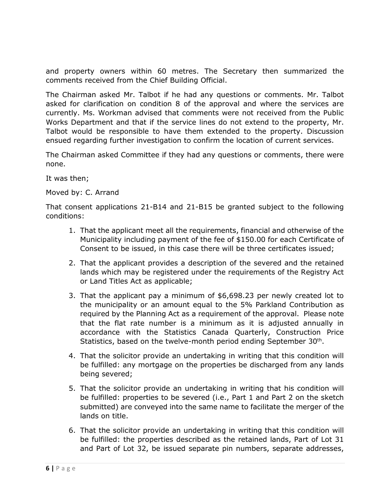and property owners within 60 metres. The Secretary then summarized the comments received from the Chief Building Official.

The Chairman asked Mr. Talbot if he had any questions or comments. Mr. Talbot asked for clarification on condition 8 of the approval and where the services are currently. Ms. Workman advised that comments were not received from the Public Works Department and that if the service lines do not extend to the property, Mr. Talbot would be responsible to have them extended to the property. Discussion ensued regarding further investigation to confirm the location of current services.

The Chairman asked Committee if they had any questions or comments, there were none.

It was then;

Moved by: C. Arrand

That consent applications 21-B14 and 21-B15 be granted subject to the following conditions:

- 1. That the applicant meet all the requirements, financial and otherwise of the Municipality including payment of the fee of \$150.00 for each Certificate of Consent to be issued, in this case there will be three certificates issued;
- 2. That the applicant provides a description of the severed and the retained lands which may be registered under the requirements of the Registry Act or Land Titles Act as applicable;
- 3. That the applicant pay a minimum of \$6,698.23 per newly created lot to the municipality or an amount equal to the 5% Parkland Contribution as required by the Planning Act as a requirement of the approval. Please note that the flat rate number is a minimum as it is adjusted annually in accordance with the Statistics Canada Quarterly, Construction Price Statistics, based on the twelve-month period ending September 30<sup>th</sup>.
- 4. That the solicitor provide an undertaking in writing that this condition will be fulfilled: any mortgage on the properties be discharged from any lands being severed;
- 5. That the solicitor provide an undertaking in writing that his condition will be fulfilled: properties to be severed (i.e., Part 1 and Part 2 on the sketch submitted) are conveyed into the same name to facilitate the merger of the lands on title.
- 6. That the solicitor provide an undertaking in writing that this condition will be fulfilled: the properties described as the retained lands, Part of Lot 31 and Part of Lot 32, be issued separate pin numbers, separate addresses,